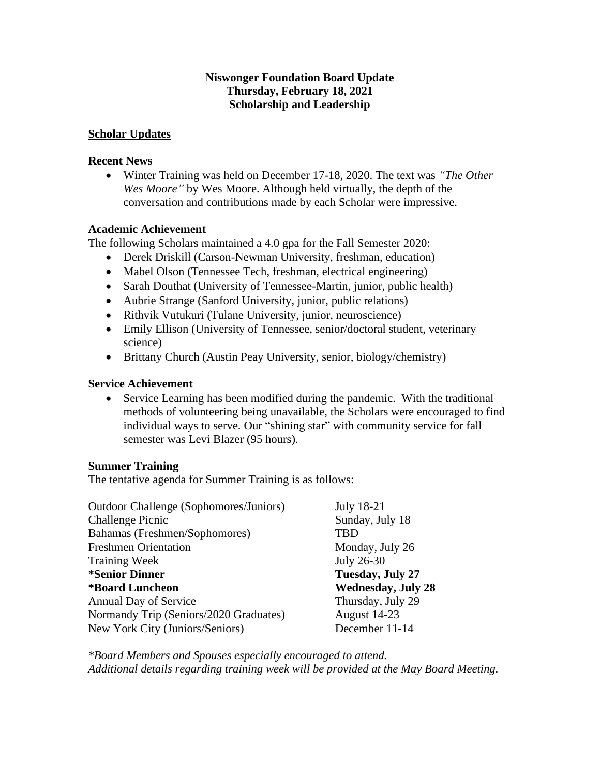### **Niswonger Foundation Board Update Thursday, February 18, 2021 Scholarship and Leadership**

#### **Scholar Updates**

#### **Recent News**

• Winter Training was held on December 17-18, 2020. The text was *"The Other Wes Moore"* by Wes Moore. Although held virtually, the depth of the conversation and contributions made by each Scholar were impressive.

#### **Academic Achievement**

The following Scholars maintained a 4.0 gpa for the Fall Semester 2020:

- Derek Driskill (Carson-Newman University, freshman, education)
- Mabel Olson (Tennessee Tech, freshman, electrical engineering)
- Sarah Douthat (University of Tennessee-Martin, junior, public health)
- Aubrie Strange (Sanford University, junior, public relations)
- Rithvik Vutukuri (Tulane University, junior, neuroscience)
- Emily Ellison (University of Tennessee, senior/doctoral student, veterinary science)
- Brittany Church (Austin Peay University, senior, biology/chemistry)

#### **Service Achievement**

• Service Learning has been modified during the pandemic. With the traditional methods of volunteering being unavailable, the Scholars were encouraged to find individual ways to serve. Our "shining star" with community service for fall semester was Levi Blazer (95 hours).

#### **Summer Training**

The tentative agenda for Summer Training is as follows:

| Outdoor Challenge (Sophomores/Juniors) | <b>July 18-21</b>         |
|----------------------------------------|---------------------------|
| <b>Challenge Picnic</b>                | Sunday, July 18           |
| Bahamas (Freshmen/Sophomores)          | TBD                       |
| <b>Freshmen Orientation</b>            | Monday, July 26           |
| <b>Training Week</b>                   | July 26-30                |
| <i><b>*Senior Dinner</b></i>           | Tuesday, July 27          |
| <i><b>*Board Luncheon</b></i>          | <b>Wednesday, July 28</b> |
| <b>Annual Day of Service</b>           | Thursday, July 29         |
| Normandy Trip (Seniors/2020 Graduates) | August 14-23              |
| New York City (Juniors/Seniors)        | December 11-14            |

*\*Board Members and Spouses especially encouraged to attend. Additional details regarding training week will be provided at the May Board Meeting.*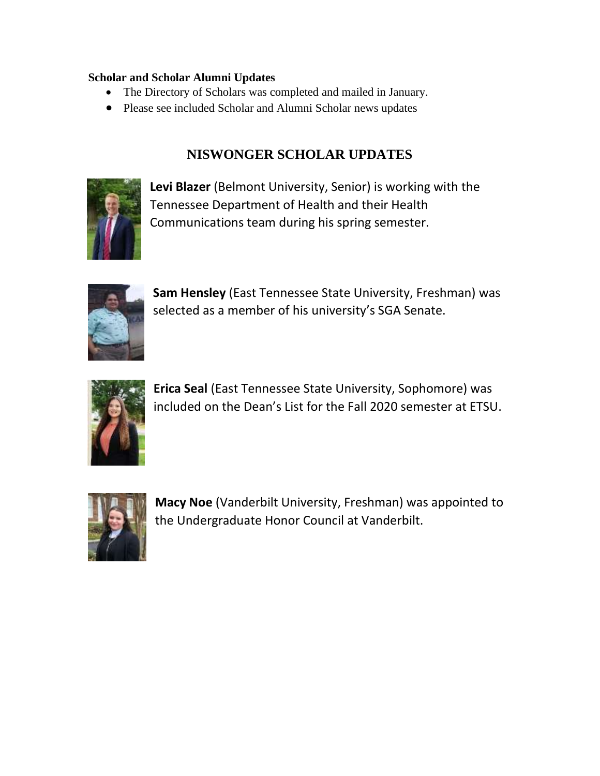## **Scholar and Scholar Alumni Updates**

- The Directory of Scholars was completed and mailed in January.
- Please see included Scholar and Alumni Scholar news updates

# **NISWONGER SCHOLAR UPDATES**



**Levi Blazer** (Belmont University, Senior) is working with the Tennessee Department of Health and their Health Communications team during his spring semester.



**Sam Hensley** (East Tennessee State University, Freshman) was selected as a member of his university's SGA Senate.



**Erica Seal** (East Tennessee State University, Sophomore) was included on the Dean's List for the Fall 2020 semester at ETSU.



**Macy Noe** (Vanderbilt University, Freshman) was appointed to the Undergraduate Honor Council at Vanderbilt.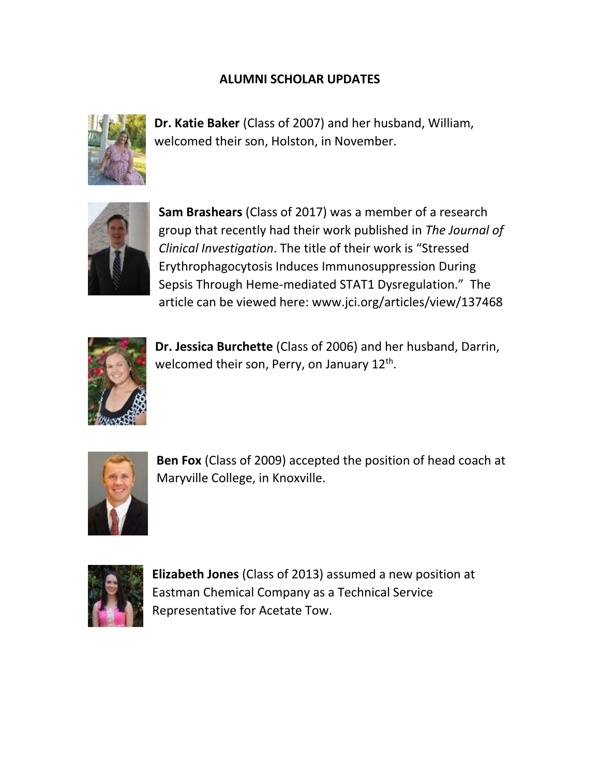# **ALUMNI SCHOLAR UPDATES**



**Dr. Katie Baker** (Class of 2007) and her husband, William, welcomed their son, Holston, in November.



**Sam Brashears** (Class of 2017) was a member of a research group that recently had their work published in *The Journal of Clinical Investigation*. The title of their work is "Stressed Erythrophagocytosis Induces Immunosuppression During Sepsis Through Heme-mediated STAT1 Dysregulation." The article can be viewed here: www.jci.org/articles/view/137468



**Dr. Jessica Burchette** (Class of 2006) and her husband, Darrin, welcomed their son, Perry, on January 12<sup>th</sup>.



**Ben Fox** (Class of 2009) accepted the position of head coach at Maryville College, in Knoxville.



**Elizabeth Jones** (Class of 2013) assumed a new position at Eastman Chemical Company as a Technical Service Representative for Acetate Tow.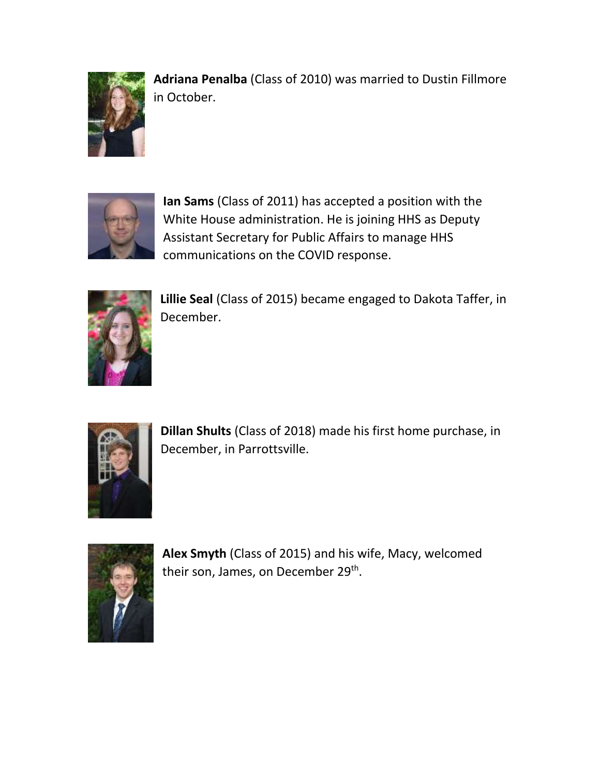

**Adriana Penalba** (Class of 2010) was married to Dustin Fillmore in October.



**Ian Sams** (Class of 2011) has accepted a position with the White House administration. He is joining HHS as Deputy Assistant Secretary for Public Affairs to manage HHS communications on the COVID response.



**Lillie Seal** (Class of 2015) became engaged to Dakota Taffer, in December.



**Dillan Shults** (Class of 2018) made his first home purchase, in December, in Parrottsville.



**Alex Smyth** (Class of 2015) and his wife, Macy, welcomed their son, James, on December 29<sup>th</sup>.